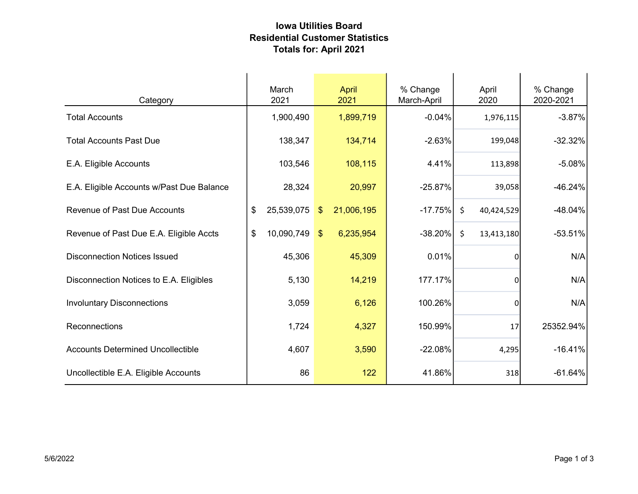## Iowa Utilities Board Residential Customer Statistics Totals for: April 2021

| Category                                  | March<br>2021    |               | April<br>2021 | % Change<br>March-April |       | April<br>2020    | % Change<br>2020-2021 |
|-------------------------------------------|------------------|---------------|---------------|-------------------------|-------|------------------|-----------------------|
| <b>Total Accounts</b>                     | 1,900,490        |               | 1,899,719     | $-0.04%$                |       | 1,976,115        | $-3.87%$              |
| <b>Total Accounts Past Due</b>            | 138,347          |               | 134,714       | $-2.63%$                |       | 199,048          | $-32.32%$             |
| E.A. Eligible Accounts                    | 103,546          |               | 108,115       |                         | 4.41% | 113,898          | $-5.08%$              |
| E.A. Eligible Accounts w/Past Due Balance | 28,324           |               | 20,997        | $-25.87%$               |       | 39,058           | $-46.24%$             |
| <b>Revenue of Past Due Accounts</b>       | \$<br>25,539,075 | $\sqrt[6]{3}$ | 21,006,195    | $-17.75%$               |       | \$<br>40,424,529 | $-48.04%$             |
| Revenue of Past Due E.A. Eligible Accts   | \$<br>10,090,749 | $\mathbf{\$}$ | 6,235,954     | $-38.20\%$              |       | \$<br>13,413,180 | $-53.51%$             |
| <b>Disconnection Notices Issued</b>       | 45,306           |               | 45,309        |                         | 0.01% | $\overline{0}$   | N/A                   |
| Disconnection Notices to E.A. Eligibles   | 5,130            |               | 14,219        | 177.17%                 |       | 0l               | N/A                   |
| <b>Involuntary Disconnections</b>         | 3,059            |               | 6,126         | 100.26%                 |       | $\overline{0}$   | N/A                   |
| Reconnections                             | 1,724            |               | 4,327         | 150.99%                 |       | 17               | 25352.94%             |
| <b>Accounts Determined Uncollectible</b>  | 4,607            |               | 3,590         | $-22.08%$               |       | 4,295            | $-16.41%$             |
| Uncollectible E.A. Eligible Accounts      | 86               |               | 122           | 41.86%                  |       | 318              | $-61.64%$             |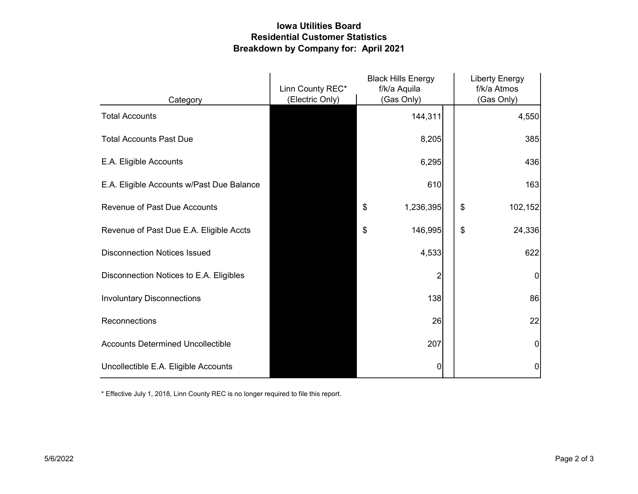## Iowa Utilities Board Residential Customer Statistics Breakdown by Company for: April 2021

|                                           | Linn County REC* | <b>Black Hills Energy</b><br>f/k/a Aquila | <b>Liberty Energy</b><br>f/k/a Atmos |
|-------------------------------------------|------------------|-------------------------------------------|--------------------------------------|
| Category                                  | (Electric Only)  | (Gas Only)                                | (Gas Only)                           |
| <b>Total Accounts</b>                     |                  | 144,311                                   | 4,550                                |
| <b>Total Accounts Past Due</b>            |                  | 8,205                                     | 385                                  |
| E.A. Eligible Accounts                    |                  | 6,295                                     | 436                                  |
| E.A. Eligible Accounts w/Past Due Balance |                  | 610                                       | 163                                  |
| <b>Revenue of Past Due Accounts</b>       |                  | \$<br>1,236,395                           | \$<br>102,152                        |
| Revenue of Past Due E.A. Eligible Accts   |                  | \$<br>146,995                             | \$<br>24,336                         |
| <b>Disconnection Notices Issued</b>       |                  | 4,533                                     | 622                                  |
| Disconnection Notices to E.A. Eligibles   |                  | 2                                         | 0                                    |
| <b>Involuntary Disconnections</b>         |                  | 138                                       | 86                                   |
| Reconnections                             |                  | 26                                        | 22                                   |
| <b>Accounts Determined Uncollectible</b>  |                  | 207                                       | $\mathbf 0$                          |
| Uncollectible E.A. Eligible Accounts      |                  | 0                                         | 0                                    |

\* Effective July 1, 2018, Linn County REC is no longer required to file this report.